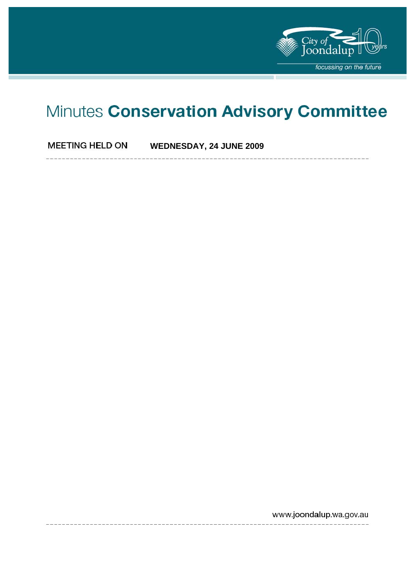

# Minutes Conservation Advisory Committee

**MEETING HELD ON WEDNESDAY, 24 JUNE 2009** 

www.joondalup.wa.gov.au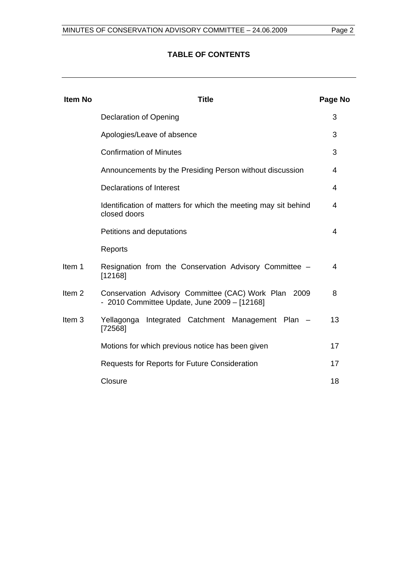# **TABLE OF CONTENTS**

| <b>Item No</b>    | <b>Title</b>                                                                                         | Page No |
|-------------------|------------------------------------------------------------------------------------------------------|---------|
|                   | Declaration of Opening                                                                               | 3       |
|                   | Apologies/Leave of absence                                                                           | 3       |
|                   | <b>Confirmation of Minutes</b>                                                                       | 3       |
|                   | Announcements by the Presiding Person without discussion                                             | 4       |
|                   | Declarations of Interest                                                                             | 4       |
|                   | Identification of matters for which the meeting may sit behind<br>closed doors                       | 4       |
|                   | Petitions and deputations                                                                            | 4       |
|                   | Reports                                                                                              |         |
| Item 1            | Resignation from the Conservation Advisory Committee -<br>[12168]                                    | 4       |
| Item <sub>2</sub> | Conservation Advisory Committee (CAC) Work Plan 2009<br>- 2010 Committee Update, June 2009 - [12168] | 8       |
| Item <sub>3</sub> | Integrated Catchment Management Plan -<br>Yellagonga<br>[72568]                                      | 13      |
|                   | Motions for which previous notice has been given                                                     | 17      |
|                   | <b>Requests for Reports for Future Consideration</b>                                                 | 17      |
|                   | Closure                                                                                              | 18      |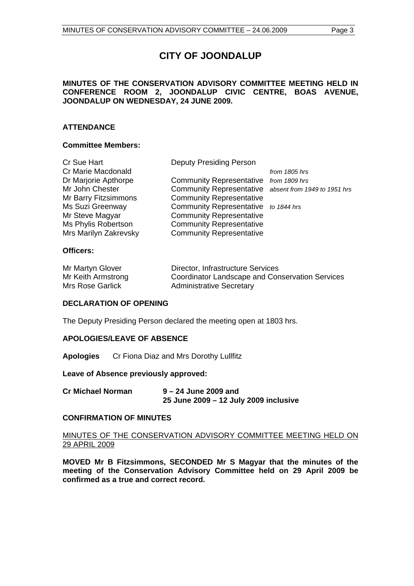# **CITY OF JOONDALUP**

# **MINUTES OF THE CONSERVATION ADVISORY COMMITTEE MEETING HELD IN CONFERENCE ROOM 2, JOONDALUP CIVIC CENTRE, BOAS AVENUE, JOONDALUP ON WEDNESDAY, 24 JUNE 2009.**

# **ATTENDANCE**

## **Committee Members:**

| Cr Sue Hart           | <b>Deputy Presiding Person</b>                        |               |
|-----------------------|-------------------------------------------------------|---------------|
| Cr Marie Macdonald    |                                                       | from 1805 hrs |
| Dr Marjorie Apthorpe  | Community Representative from 1809 hrs                |               |
| Mr John Chester       | Community Representative absent from 1949 to 1951 hrs |               |
| Mr Barry Fitzsimmons  | <b>Community Representative</b>                       |               |
| Ms Suzi Greenway      | Community Representative to 1844 hrs                  |               |
| Mr Steve Magyar       | <b>Community Representative</b>                       |               |
| Ms Phylis Robertson   | <b>Community Representative</b>                       |               |
| Mrs Marilyn Zakrevsky | <b>Community Representative</b>                       |               |
|                       |                                                       |               |

# **Officers:**

| Mr Martyn Glover   | Director, Infrastructure Services               |
|--------------------|-------------------------------------------------|
| Mr Keith Armstrong | Coordinator Landscape and Conservation Services |
| Mrs Rose Garlick   | <b>Administrative Secretary</b>                 |

## **DECLARATION OF OPENING**

The Deputy Presiding Person declared the meeting open at 1803 hrs.

## **APOLOGIES/LEAVE OF ABSENCE**

**Apologies** Cr Fiona Diaz and Mrs Dorothy Lullfitz

**Leave of Absence previously approved:** 

**Cr Michael Norman 9 – 24 June 2009 and 25 June 2009 – 12 July 2009 inclusive** 

## **CONFIRMATION OF MINUTES**

# MINUTES OF THE CONSERVATION ADVISORY COMMITTEE MEETING HELD ON 29 APRIL 2009

**MOVED Mr B Fitzsimmons, SECONDED Mr S Magyar that the minutes of the meeting of the Conservation Advisory Committee held on 29 April 2009 be confirmed as a true and correct record.**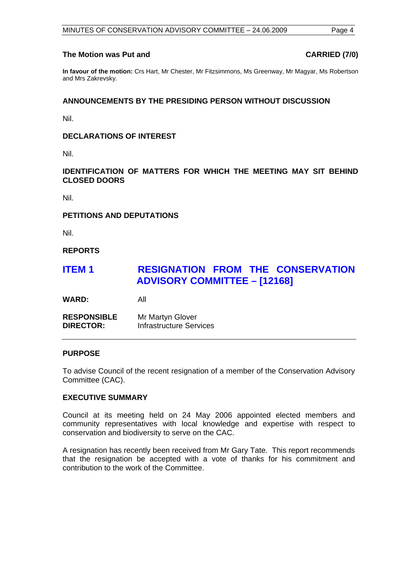#### The Motion was Put and **CARRIED** (7/0)

**In favour of the motion:** Crs Hart, Mr Chester, Mr Fitzsimmons, Ms Greenway, Mr Magyar, Ms Robertson and Mrs Zakrevsky.

# **ANNOUNCEMENTS BY THE PRESIDING PERSON WITHOUT DISCUSSION**

Nil.

# **DECLARATIONS OF INTEREST**

Nil.

**IDENTIFICATION OF MATTERS FOR WHICH THE MEETING MAY SIT BEHIND CLOSED DOORS** 

Nil.

# **PETITIONS AND DEPUTATIONS**

Nil.

**REPORTS** 

# **ITEM 1 RESIGNATION FROM THE CONSERVATION ADVISORY COMMITTEE – [12168]**

**WARD:** All

**RESPONSIBLE** Mr Martyn Glover **DIRECTOR:** Infrastructure Services

## **PURPOSE**

To advise Council of the recent resignation of a member of the Conservation Advisory Committee (CAC).

## **EXECUTIVE SUMMARY**

Council at its meeting held on 24 May 2006 appointed elected members and community representatives with local knowledge and expertise with respect to conservation and biodiversity to serve on the CAC.

A resignation has recently been received from Mr Gary Tate. This report recommends that the resignation be accepted with a vote of thanks for his commitment and contribution to the work of the Committee.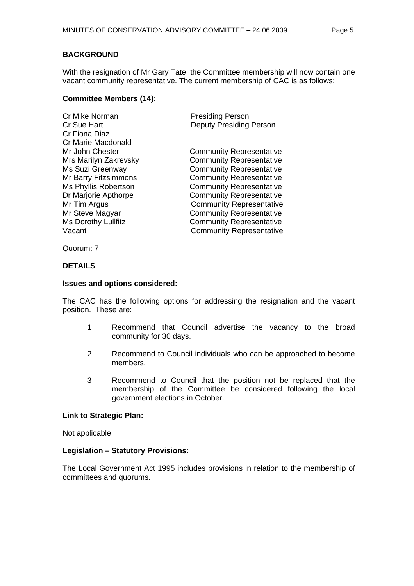# **BACKGROUND**

With the resignation of Mr Gary Tate, the Committee membership will now contain one vacant community representative. The current membership of CAC is as follows:

# **Committee Members (14):**

| <b>Presiding Person</b>         |
|---------------------------------|
| <b>Deputy Presiding Person</b>  |
|                                 |
|                                 |
| <b>Community Representative</b> |
| <b>Community Representative</b> |
| <b>Community Representative</b> |
| <b>Community Representative</b> |
| <b>Community Representative</b> |
| <b>Community Representative</b> |
| <b>Community Representative</b> |
| <b>Community Representative</b> |
| <b>Community Representative</b> |
| <b>Community Representative</b> |
|                                 |

Quorum: 7

# **DETAILS**

## **Issues and options considered:**

The CAC has the following options for addressing the resignation and the vacant position. These are:

- 1 Recommend that Council advertise the vacancy to the broad community for 30 days.
- 2 Recommend to Council individuals who can be approached to become members.
- 3 Recommend to Council that the position not be replaced that the membership of the Committee be considered following the local government elections in October.

# **Link to Strategic Plan:**

Not applicable.

## **Legislation – Statutory Provisions:**

The Local Government Act 1995 includes provisions in relation to the membership of committees and quorums.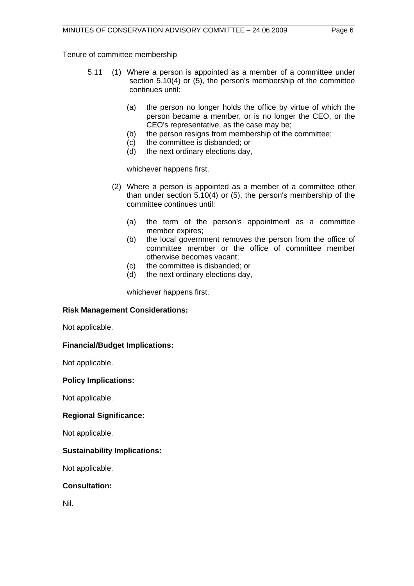Tenure of committee membership

- 5.11 (1) Where a person is appointed as a member of a committee under section 5.10(4) or (5), the person's membership of the committee continues until:
	- (a) the person no longer holds the office by virtue of which the person became a member, or is no longer the CEO, or the CEO's representative, as the case may be;
	- (b) the person resigns from membership of the committee;
	- (c) the committee is disbanded; or
	- (d) the next ordinary elections day,

whichever happens first.

- (2) Where a person is appointed as a member of a committee other than under section 5.10(4) or (5), the person's membership of the committee continues until:
	- (a) the term of the person's appointment as a committee member expires;
	- (b) the local government removes the person from the office of committee member or the office of committee member otherwise becomes vacant;
	- (c) the committee is disbanded; or
	- (d) the next ordinary elections day,

whichever happens first.

# **Risk Management Considerations:**

Not applicable.

# **Financial/Budget Implications:**

Not applicable.

# **Policy Implications:**

Not applicable.

# **Regional Significance:**

Not applicable.

# **Sustainability Implications:**

Not applicable.

# **Consultation:**

Nil.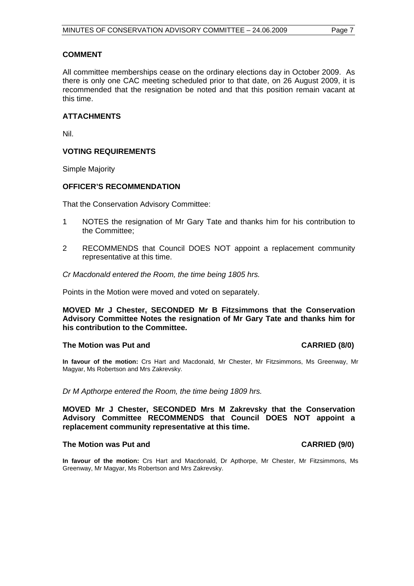# **COMMENT**

All committee memberships cease on the ordinary elections day in October 2009. As there is only one CAC meeting scheduled prior to that date, on 26 August 2009, it is recommended that the resignation be noted and that this position remain vacant at this time.

# **ATTACHMENTS**

Nil.

# **VOTING REQUIREMENTS**

Simple Majority

# **OFFICER'S RECOMMENDATION**

That the Conservation Advisory Committee:

- 1 NOTES the resignation of Mr Gary Tate and thanks him for his contribution to the Committee;
- 2 RECOMMENDS that Council DOES NOT appoint a replacement community representative at this time.
- *Cr Macdonald entered the Room, the time being 1805 hrs.*

Points in the Motion were moved and voted on separately.

**MOVED Mr J Chester, SECONDED Mr B Fitzsimmons that the Conservation Advisory Committee Notes the resignation of Mr Gary Tate and thanks him for his contribution to the Committee.** 

## The Motion was Put and **CARRIED** (8/0)

**In favour of the motion:** Crs Hart and Macdonald, Mr Chester, Mr Fitzsimmons, Ms Greenway, Mr Magyar, Ms Robertson and Mrs Zakrevsky.

*Dr M Apthorpe entered the Room, the time being 1809 hrs.* 

**MOVED Mr J Chester, SECONDED Mrs M Zakrevsky that the Conservation Advisory Committee RECOMMENDS that Council DOES NOT appoint a replacement community representative at this time.** 

## The Motion was Put and **CARRIED** (9/0)

**In favour of the motion:** Crs Hart and Macdonald, Dr Apthorpe, Mr Chester, Mr Fitzsimmons, Ms Greenway, Mr Magyar, Ms Robertson and Mrs Zakrevsky.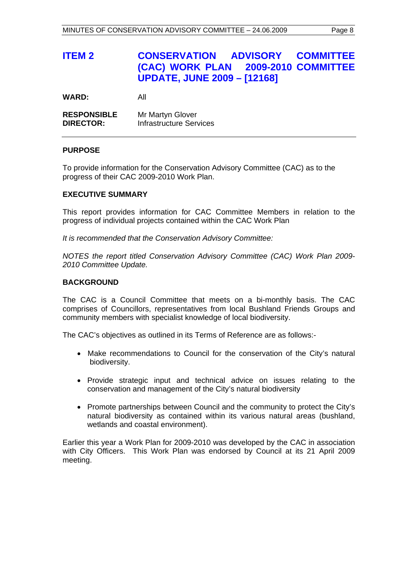# **ITEM 2 CONSERVATION ADVISORY COMMITTEE (CAC) WORK PLAN 2009-2010 COMMITTEE UPDATE, JUNE 2009 – [12168]**

**WARD:** All

| <b>RESPONSIBLE</b> | Mr Martyn Glover               |
|--------------------|--------------------------------|
| <b>DIRECTOR:</b>   | <b>Infrastructure Services</b> |

# **PURPOSE**

To provide information for the Conservation Advisory Committee (CAC) as to the progress of their CAC 2009-2010 Work Plan.

# **EXECUTIVE SUMMARY**

This report provides information for CAC Committee Members in relation to the progress of individual projects contained within the CAC Work Plan

*It is recommended that the Conservation Advisory Committee:* 

*NOTES the report titled Conservation Advisory Committee (CAC) Work Plan 2009- 2010 Committee Update.*

# **BACKGROUND**

The CAC is a Council Committee that meets on a bi-monthly basis. The CAC comprises of Councillors, representatives from local Bushland Friends Groups and community members with specialist knowledge of local biodiversity.

The CAC's objectives as outlined in its Terms of Reference are as follows:-

- Make recommendations to Council for the conservation of the City's natural biodiversity.
- Provide strategic input and technical advice on issues relating to the conservation and management of the City's natural biodiversity
- Promote partnerships between Council and the community to protect the City's natural biodiversity as contained within its various natural areas (bushland, wetlands and coastal environment).

Earlier this year a Work Plan for 2009-2010 was developed by the CAC in association with City Officers. This Work Plan was endorsed by Council at its 21 April 2009 meeting.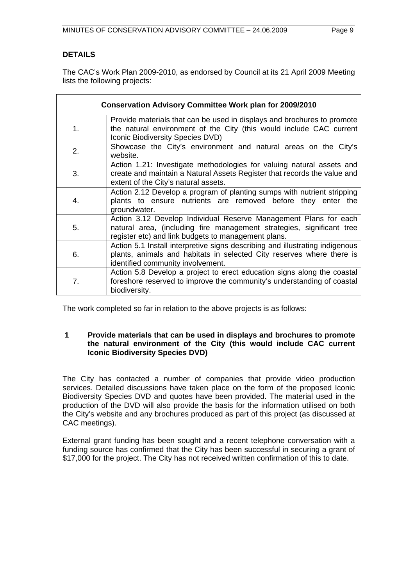# **DETAILS**

The CAC's Work Plan 2009-2010, as endorsed by Council at its 21 April 2009 Meeting lists the following projects:

| <b>Conservation Advisory Committee Work plan for 2009/2010</b> |                                                                                                                                                                                                  |  |  |  |
|----------------------------------------------------------------|--------------------------------------------------------------------------------------------------------------------------------------------------------------------------------------------------|--|--|--|
| 1.                                                             | Provide materials that can be used in displays and brochures to promote<br>the natural environment of the City (this would include CAC current<br><b>Iconic Biodiversity Species DVD)</b>        |  |  |  |
| 2.                                                             | Showcase the City's environment and natural areas on the City's<br>website.                                                                                                                      |  |  |  |
| 3.                                                             | Action 1.21: Investigate methodologies for valuing natural assets and<br>create and maintain a Natural Assets Register that records the value and<br>extent of the City's natural assets.        |  |  |  |
| 4.                                                             | Action 2.12 Develop a program of planting sumps with nutrient stripping<br>plants to ensure nutrients are removed before they enter the<br>groundwater.                                          |  |  |  |
| 5.                                                             | Action 3.12 Develop Individual Reserve Management Plans for each<br>natural area, (including fire management strategies, significant tree<br>register etc) and link budgets to management plans. |  |  |  |
| 6.                                                             | Action 5.1 Install interpretive signs describing and illustrating indigenous<br>plants, animals and habitats in selected City reserves where there is<br>identified community involvement.       |  |  |  |
| 7.                                                             | Action 5.8 Develop a project to erect education signs along the coastal<br>foreshore reserved to improve the community's understanding of coastal<br>biodiversity.                               |  |  |  |

The work completed so far in relation to the above projects is as follows:

# **1 Provide materials that can be used in displays and brochures to promote the natural environment of the City (this would include CAC current Iconic Biodiversity Species DVD)**

The City has contacted a number of companies that provide video production services. Detailed discussions have taken place on the form of the proposed Iconic Biodiversity Species DVD and quotes have been provided. The material used in the production of the DVD will also provide the basis for the information utilised on both the City's website and any brochures produced as part of this project (as discussed at CAC meetings).

External grant funding has been sought and a recent telephone conversation with a funding source has confirmed that the City has been successful in securing a grant of \$17,000 for the project. The City has not received written confirmation of this to date.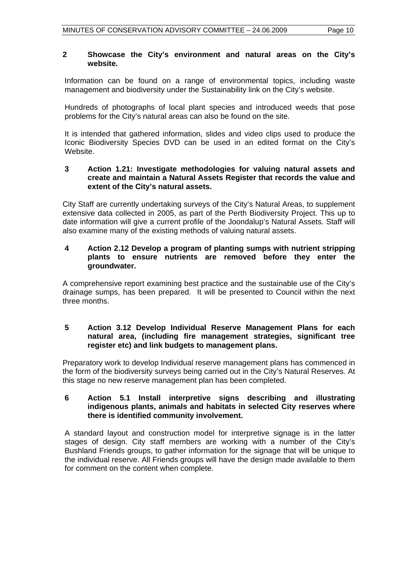# **2 Showcase the City's environment and natural areas on the City's website.**

Information can be found on a range of environmental topics, including waste management and biodiversity under the Sustainability link on the City's website.

Hundreds of photographs of local plant species and introduced weeds that pose problems for the City's natural areas can also be found on the site.

It is intended that gathered information, slides and video clips used to produce the Iconic Biodiversity Species DVD can be used in an edited format on the City's Website.

# **3 Action 1.21: Investigate methodologies for valuing natural assets and create and maintain a Natural Assets Register that records the value and extent of the City's natural assets.**

City Staff are currently undertaking surveys of the City's Natural Areas, to supplement extensive data collected in 2005, as part of the Perth Biodiversity Project. This up to date information will give a current profile of the Joondalup's Natural Assets. Staff will also examine many of the existing methods of valuing natural assets.

# **4 Action 2.12 Develop a program of planting sumps with nutrient stripping plants to ensure nutrients are removed before they enter the groundwater.**

A comprehensive report examining best practice and the sustainable use of the City's drainage sumps, has been prepared. It will be presented to Council within the next three months.

# **5 Action 3.12 Develop Individual Reserve Management Plans for each natural area, (including fire management strategies, significant tree register etc) and link budgets to management plans.**

Preparatory work to develop Individual reserve management plans has commenced in the form of the biodiversity surveys being carried out in the City's Natural Reserves. At this stage no new reserve management plan has been completed.

# **6 Action 5.1 Install interpretive signs describing and illustrating indigenous plants, animals and habitats in selected City reserves where there is identified community involvement.**

A standard layout and construction model for interpretive signage is in the latter stages of design. City staff members are working with a number of the City's Bushland Friends groups, to gather information for the signage that will be unique to the individual reserve. All Friends groups will have the design made available to them for comment on the content when complete.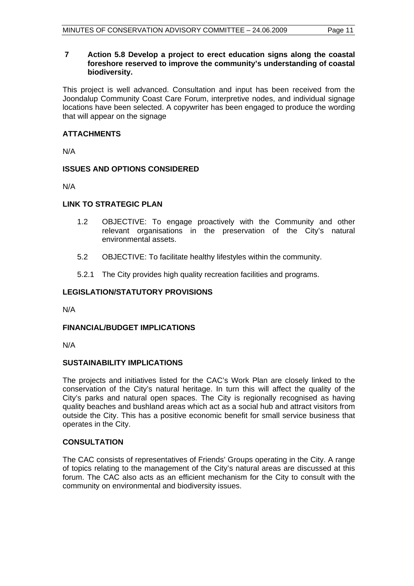# **7 Action 5.8 Develop a project to erect education signs along the coastal foreshore reserved to improve the community's understanding of coastal biodiversity.**

This project is well advanced. Consultation and input has been received from the Joondalup Community Coast Care Forum, interpretive nodes, and individual signage locations have been selected. A copywriter has been engaged to produce the wording that will appear on the signage

# **ATTACHMENTS**

N/A

# **ISSUES AND OPTIONS CONSIDERED**

N/A

# **LINK TO STRATEGIC PLAN**

- 1.2 OBJECTIVE: To engage proactively with the Community and other relevant organisations in the preservation of the City's natural environmental assets.
- 5.2 OBJECTIVE: To facilitate healthy lifestyles within the community.
- 5.2.1 The City provides high quality recreation facilities and programs.

# **LEGISLATION/STATUTORY PROVISIONS**

N/A

# **FINANCIAL/BUDGET IMPLICATIONS**

N/A

# **SUSTAINABILITY IMPLICATIONS**

The projects and initiatives listed for the CAC's Work Plan are closely linked to the conservation of the City's natural heritage. In turn this will affect the quality of the City's parks and natural open spaces. The City is regionally recognised as having quality beaches and bushland areas which act as a social hub and attract visitors from outside the City. This has a positive economic benefit for small service business that operates in the City.

# **CONSULTATION**

The CAC consists of representatives of Friends' Groups operating in the City. A range of topics relating to the management of the City's natural areas are discussed at this forum. The CAC also acts as an efficient mechanism for the City to consult with the community on environmental and biodiversity issues.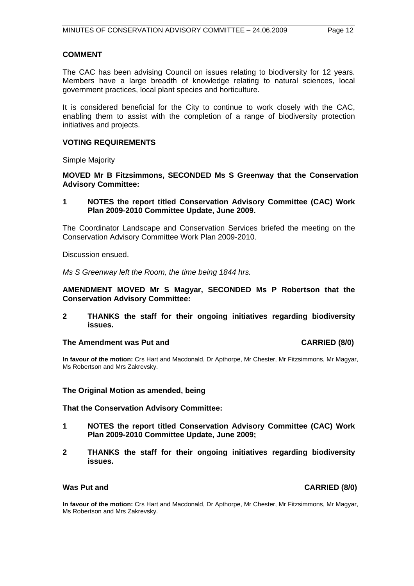# **COMMENT**

The CAC has been advising Council on issues relating to biodiversity for 12 years. Members have a large breadth of knowledge relating to natural sciences, local government practices, local plant species and horticulture.

It is considered beneficial for the City to continue to work closely with the CAC, enabling them to assist with the completion of a range of biodiversity protection initiatives and projects.

# **VOTING REQUIREMENTS**

Simple Majority

**MOVED Mr B Fitzsimmons, SECONDED Ms S Greenway that the Conservation Advisory Committee:** 

**1 NOTES the report titled Conservation Advisory Committee (CAC) Work Plan 2009-2010 Committee Update, June 2009.** 

The Coordinator Landscape and Conservation Services briefed the meeting on the Conservation Advisory Committee Work Plan 2009-2010.

Discussion ensued.

*Ms S Greenway left the Room, the time being 1844 hrs.* 

**AMENDMENT MOVED Mr S Magyar, SECONDED Ms P Robertson that the Conservation Advisory Committee:** 

**2 THANKS the staff for their ongoing initiatives regarding biodiversity issues.** 

# **The Amendment was Put and CARRIED (8/0) CARRIED (8/0)**

**In favour of the motion:** Crs Hart and Macdonald, Dr Apthorpe, Mr Chester, Mr Fitzsimmons, Mr Magyar, Ms Robertson and Mrs Zakrevsky.

## **The Original Motion as amended, being**

## **That the Conservation Advisory Committee:**

- **1 NOTES the report titled Conservation Advisory Committee (CAC) Work Plan 2009-2010 Committee Update, June 2009;**
- **2 THANKS the staff for their ongoing initiatives regarding biodiversity issues.**

# **Was Put and CARRIED (8/0)**

**In favour of the motion:** Crs Hart and Macdonald, Dr Apthorpe, Mr Chester, Mr Fitzsimmons, Mr Magyar, Ms Robertson and Mrs Zakrevsky.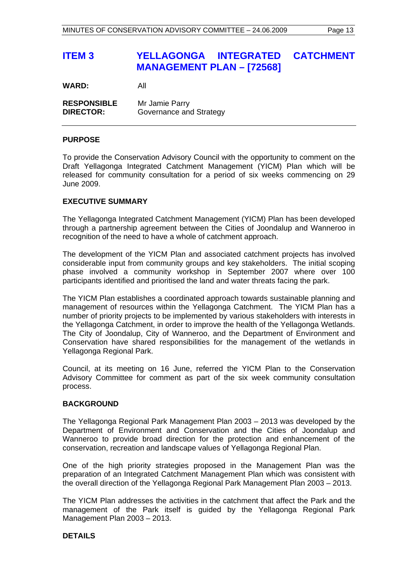# **ITEM 3 YELLAGONGA INTEGRATED CATCHMENT MANAGEMENT PLAN – [72568]**

**WARD:** All

**RESPONSIBLE** Mr Jamie Parry **DIRECTOR:** Governance and Strategy

# **PURPOSE**

To provide the Conservation Advisory Council with the opportunity to comment on the Draft Yellagonga Integrated Catchment Management (YICM) Plan which will be released for community consultation for a period of six weeks commencing on 29 June 2009.

# **EXECUTIVE SUMMARY**

The Yellagonga Integrated Catchment Management (YICM) Plan has been developed through a partnership agreement between the Cities of Joondalup and Wanneroo in recognition of the need to have a whole of catchment approach.

The development of the YICM Plan and associated catchment projects has involved considerable input from community groups and key stakeholders. The initial scoping phase involved a community workshop in September 2007 where over 100 participants identified and prioritised the land and water threats facing the park.

The YICM Plan establishes a coordinated approach towards sustainable planning and management of resources within the Yellagonga Catchment. The YICM Plan has a number of priority projects to be implemented by various stakeholders with interests in the Yellagonga Catchment, in order to improve the health of the Yellagonga Wetlands. The City of Joondalup, City of Wanneroo, and the Department of Environment and Conservation have shared responsibilities for the management of the wetlands in Yellagonga Regional Park.

Council, at its meeting on 16 June, referred the YICM Plan to the Conservation Advisory Committee for comment as part of the six week community consultation process.

# **BACKGROUND**

The Yellagonga Regional Park Management Plan 2003 – 2013 was developed by the Department of Environment and Conservation and the Cities of Joondalup and Wanneroo to provide broad direction for the protection and enhancement of the conservation, recreation and landscape values of Yellagonga Regional Plan.

One of the high priority strategies proposed in the Management Plan was the preparation of an Integrated Catchment Management Plan which was consistent with the overall direction of the Yellagonga Regional Park Management Plan 2003 – 2013.

The YICM Plan addresses the activities in the catchment that affect the Park and the management of the Park itself is guided by the Yellagonga Regional Park Management Plan 2003 – 2013.

# **DETAILS**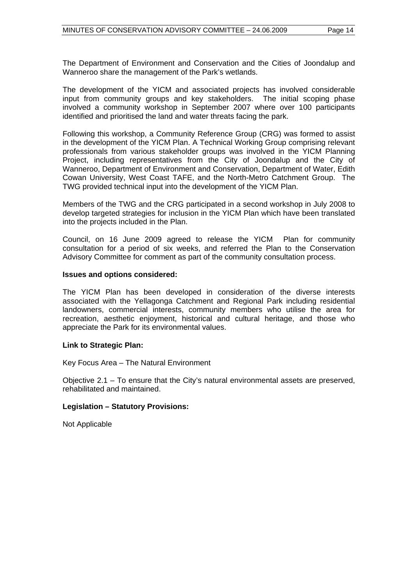The Department of Environment and Conservation and the Cities of Joondalup and Wanneroo share the management of the Park's wetlands.

The development of the YICM and associated projects has involved considerable input from community groups and key stakeholders. The initial scoping phase involved a community workshop in September 2007 where over 100 participants identified and prioritised the land and water threats facing the park.

Following this workshop, a Community Reference Group (CRG) was formed to assist in the development of the YICM Plan. A Technical Working Group comprising relevant professionals from various stakeholder groups was involved in the YICM Planning Project, including representatives from the City of Joondalup and the City of Wanneroo, Department of Environment and Conservation, Department of Water, Edith Cowan University, West Coast TAFE, and the North-Metro Catchment Group. The TWG provided technical input into the development of the YICM Plan.

Members of the TWG and the CRG participated in a second workshop in July 2008 to develop targeted strategies for inclusion in the YICM Plan which have been translated into the projects included in the Plan.

Council, on 16 June 2009 agreed to release the YICM Plan for community consultation for a period of six weeks, and referred the Plan to the Conservation Advisory Committee for comment as part of the community consultation process.

## **Issues and options considered:**

The YICM Plan has been developed in consideration of the diverse interests associated with the Yellagonga Catchment and Regional Park including residential landowners, commercial interests, community members who utilise the area for recreation, aesthetic enjoyment, historical and cultural heritage, and those who appreciate the Park for its environmental values.

## **Link to Strategic Plan:**

Key Focus Area – The Natural Environment

Objective 2.1 – To ensure that the City's natural environmental assets are preserved, rehabilitated and maintained.

## **Legislation – Statutory Provisions:**

Not Applicable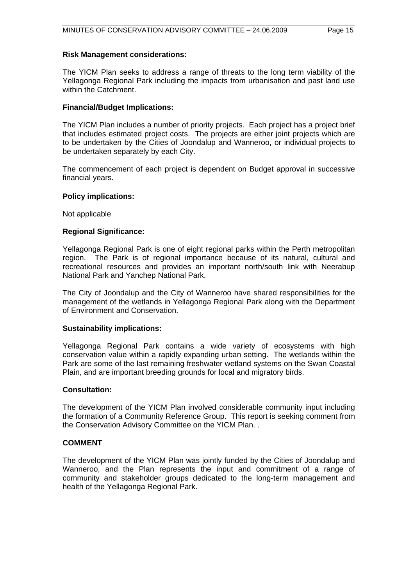## **Risk Management considerations:**

The YICM Plan seeks to address a range of threats to the long term viability of the Yellagonga Regional Park including the impacts from urbanisation and past land use within the Catchment.

# **Financial/Budget Implications:**

The YICM Plan includes a number of priority projects. Each project has a project brief that includes estimated project costs. The projects are either joint projects which are to be undertaken by the Cities of Joondalup and Wanneroo, or individual projects to be undertaken separately by each City.

The commencement of each project is dependent on Budget approval in successive financial years.

## **Policy implications:**

Not applicable

# **Regional Significance:**

Yellagonga Regional Park is one of eight regional parks within the Perth metropolitan region. The Park is of regional importance because of its natural, cultural and recreational resources and provides an important north/south link with Neerabup National Park and Yanchep National Park.

The City of Joondalup and the City of Wanneroo have shared responsibilities for the management of the wetlands in Yellagonga Regional Park along with the Department of Environment and Conservation.

## **Sustainability implications:**

Yellagonga Regional Park contains a wide variety of ecosystems with high conservation value within a rapidly expanding urban setting. The wetlands within the Park are some of the last remaining freshwater wetland systems on the Swan Coastal Plain, and are important breeding grounds for local and migratory birds.

## **Consultation:**

The development of the YICM Plan involved considerable community input including the formation of a Community Reference Group. This report is seeking comment from the Conservation Advisory Committee on the YICM Plan. .

## **COMMENT**

The development of the YICM Plan was jointly funded by the Cities of Joondalup and Wanneroo, and the Plan represents the input and commitment of a range of community and stakeholder groups dedicated to the long-term management and health of the Yellagonga Regional Park.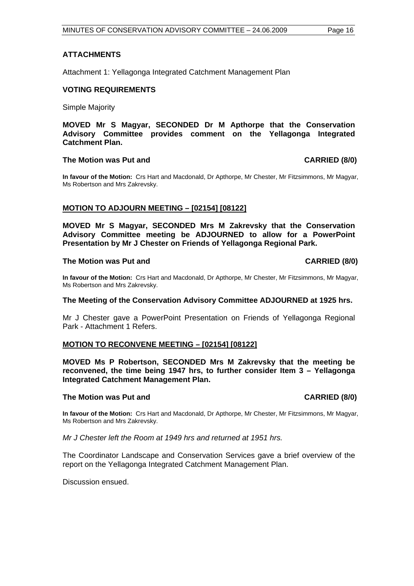# **ATTACHMENTS**

Attachment 1: Yellagonga Integrated Catchment Management Plan

## **VOTING REQUIREMENTS**

Simple Majority

**MOVED Mr S Magyar, SECONDED Dr M Apthorpe that the Conservation Advisory Committee provides comment on the Yellagonga Integrated Catchment Plan.** 

#### The Motion was Put and **CARRIED** (8/0)

**In favour of the Motion:** Crs Hart and Macdonald, Dr Apthorpe, Mr Chester, Mr Fitzsimmons, Mr Magyar, Ms Robertson and Mrs Zakrevsky.

# **MOTION TO ADJOURN MEETING – [02154] [08122]**

**MOVED Mr S Magyar, SECONDED Mrs M Zakrevsky that the Conservation Advisory Committee meeting be ADJOURNED to allow for a PowerPoint Presentation by Mr J Chester on Friends of Yellagonga Regional Park.** 

## **The Motion was Put and CARRIED (8/0) CARRIED (8/0)**

**In favour of the Motion:** Crs Hart and Macdonald, Dr Apthorpe, Mr Chester, Mr Fitzsimmons, Mr Magyar, Ms Robertson and Mrs Zakrevsky.

#### **The Meeting of the Conservation Advisory Committee ADJOURNED at 1925 hrs.**

Mr J Chester gave a PowerPoint Presentation on Friends of Yellagonga Regional Park - Attachment 1 Refers.

## **MOTION TO RECONVENE MEETING – [02154] [08122]**

**MOVED Ms P Robertson, SECONDED Mrs M Zakrevsky that the meeting be reconvened, the time being 1947 hrs, to further consider Item 3 – Yellagonga Integrated Catchment Management Plan.** 

#### The Motion was Put and **CARRIED** (8/0)

**In favour of the Motion:** Crs Hart and Macdonald, Dr Apthorpe, Mr Chester, Mr Fitzsimmons, Mr Magyar, Ms Robertson and Mrs Zakrevsky.

*Mr J Chester left the Room at 1949 hrs and returned at 1951 hrs.* 

The Coordinator Landscape and Conservation Services gave a brief overview of the report on the Yellagonga Integrated Catchment Management Plan.

Discussion ensued.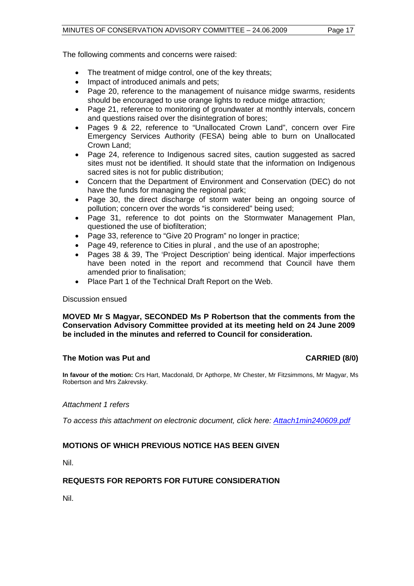The following comments and concerns were raised:

- The treatment of midge control, one of the key threats;
- Impact of introduced animals and pets;
- Page 20, reference to the management of nuisance midge swarms, residents should be encouraged to use orange lights to reduce midge attraction;
- Page 21, reference to monitoring of groundwater at monthly intervals, concern and questions raised over the disintegration of bores;
- Pages 9 & 22, reference to "Unallocated Crown Land", concern over Fire Emergency Services Authority (FESA) being able to burn on Unallocated Crown Land;
- Page 24, reference to Indigenous sacred sites, caution suggested as sacred sites must not be identified. It should state that the information on Indigenous sacred sites is not for public distribution;
- Concern that the Department of Environment and Conservation (DEC) do not have the funds for managing the regional park;
- Page 30, the direct discharge of storm water being an ongoing source of pollution; concern over the words "is considered" being used;
- Page 31, reference to dot points on the Stormwater Management Plan, questioned the use of biofilteration;
- Page 33, reference to "Give 20 Program" no longer in practice;
- Page 49, reference to Cities in plural , and the use of an apostrophe;
- Pages 38 & 39, The 'Project Description' being identical. Major imperfections have been noted in the report and recommend that Council have them amended prior to finalisation;
- Place Part 1 of the Technical Draft Report on the Web.

## Discussion ensued

# **MOVED Mr S Magyar, SECONDED Ms P Robertson that the comments from the Conservation Advisory Committee provided at its meeting held on 24 June 2009 be included in the minutes and referred to Council for consideration.**

# **The Motion was Put and CARRIED (8/0) CARRIED (8/0)**

**In favour of the motion:** Crs Hart, Macdonald, Dr Apthorpe, Mr Chester, Mr Fitzsimmons, Mr Magyar, Ms Robertson and Mrs Zakrevsky.

## *Attachment 1 refers*

*To access this attachment on electronic document, click here: <Attach1min240609.pdf>*

# **MOTIONS OF WHICH PREVIOUS NOTICE HAS BEEN GIVEN**

Nil.

# **REQUESTS FOR REPORTS FOR FUTURE CONSIDERATION**

Nil.